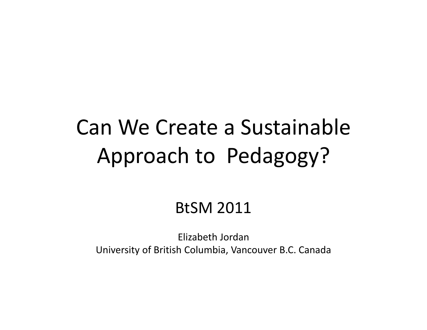## Can We Create <sup>a</sup> Sustainable Approach to Pedagogy?

#### BtSM 2011

Elizabeth Jordan University of British Columbia, Vancouver B.C. Canada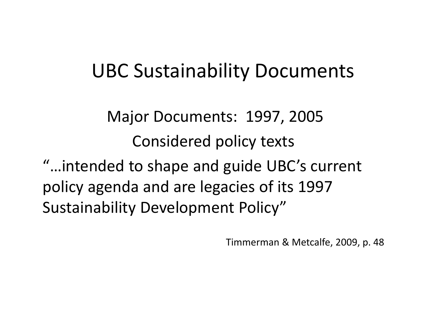#### UBC Sustainability Documents

Major Documents: 1997, 2005 Considered policy texts

"…intended to shape and guide UBC's current policy agenda and are legacies of its 1997 Sustainability Development Policy"

Timmerman & Metcalfe, 2009, p. 48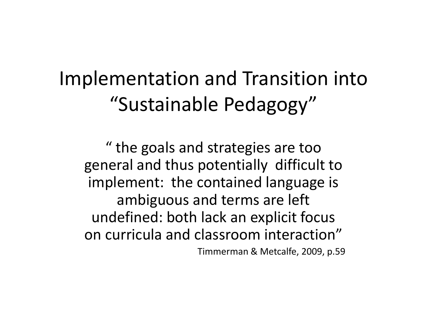#### Implementation and Transition into "Sustainable Pedagogy"

" the goals and strategies are too general and thus potentially difficult to implement: the contained language is ambiguous and terms are left undefined: both lack an explicit focus on curricula and classroom interaction" Timmerman & Metcalfe, 2009, p.59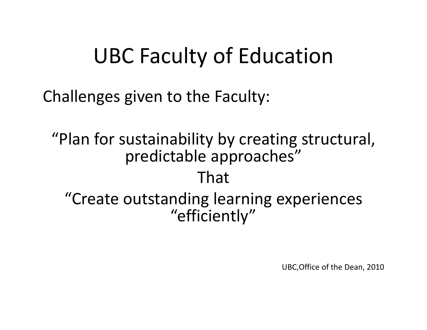## UBC Faculty of Education

Challenges given to the Faculty:

"Plan for sustainability by creating structural, predictable approaches" That"Create outstanding learning experiences "efficiently"

UBC,Office of the Dean, 2010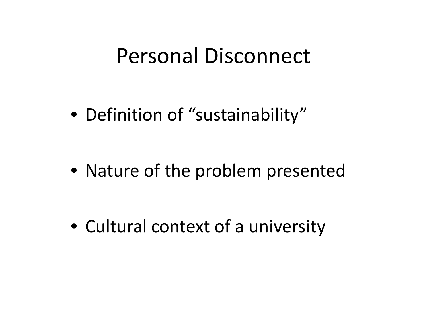#### Personal Disconnect

• Definition of "sustainability"

• Nature of the problem presented

• Cultural context of <sup>a</sup> university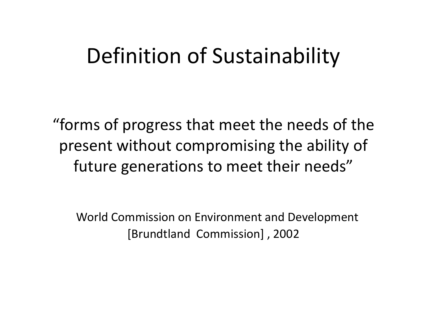#### Definition of Sustainability

"forms of progress that meet the needs of the present without compromising the ability of future generations to meet their needs"

World Commission on Environment and Development [Brundtland Commission] , 2002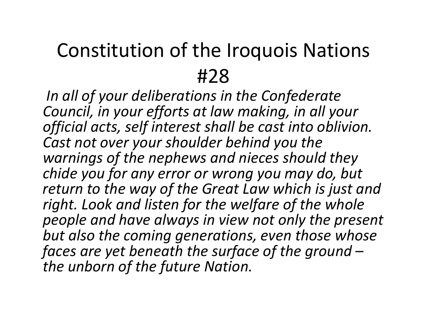#### Constitution of the Iroquois Nations #28

*In all of your deliberations in the Confederate Council, in your efforts at law making, in all your official acts, self interest shall be cast into oblivion. Cast not over your shoulder behind you the warnings of the nephews and nieces should they chide you for any error or wrong you may do, but return to the way of the Great Law which is just and right. Look and listen for the welfare of the whole people and have always in view not only the present but also the coming generations, even those whose faces are yet beneath the surface of the ground –the unborn of the future Nation.*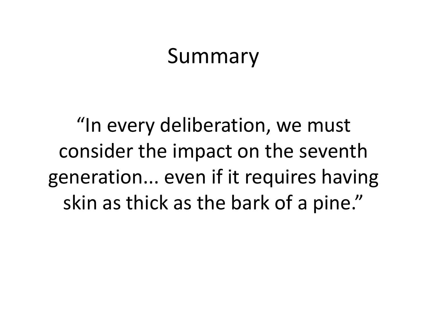#### Summary

"In every deliberation, we must consider the impact on the seventh generation... even if it requires having skin as thick as the bark of <sup>a</sup> pine."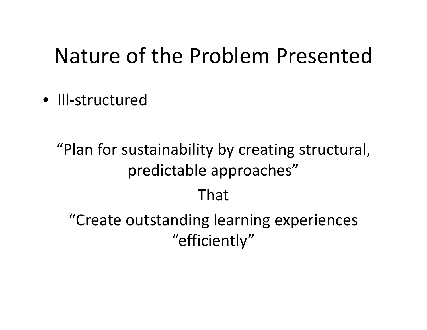#### Nature of the Problem Presented

• Ill‐structured

"Plan for sustainability by creating structural, predictable approaches" That"Create outstanding learning experiences "efficiently"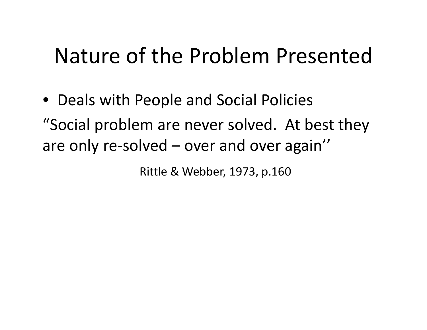#### Nature of the Problem Presented

• Deals with People and Social Policies "Social problem are never solved. At best they are only re‐solved – over and over again''

Rittle & Webber, 1973, p.160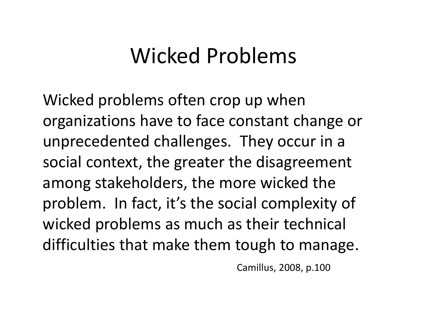## Wicked Problems

Wicked problems often crop up when organizations have to face constant change or unprecedented challenges. They occur in <sup>a</sup> social context, the greater the disagreement among stakeholders, the more wicked the problem. In fact, it's the social complexity of wicked problems as much as their technical difficulties that make them tough to manage.

Camillus, 2008, p.100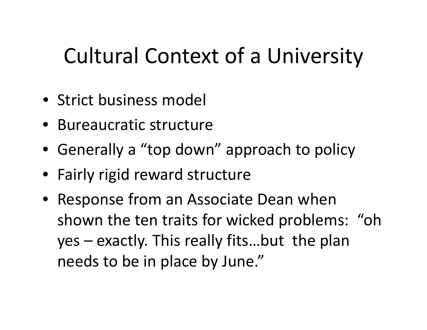## Cultural Context of <sup>a</sup> University

- Strict business model
- Bureaucratic structure
- Generally <sup>a</sup> "top down" approach to policy
- Fairly rigid reward structure
- Response from an Associate Dean when shown the ten traits for wicked problems: "oh yes – exactly. This really fits…but the plan needs to be in place by June."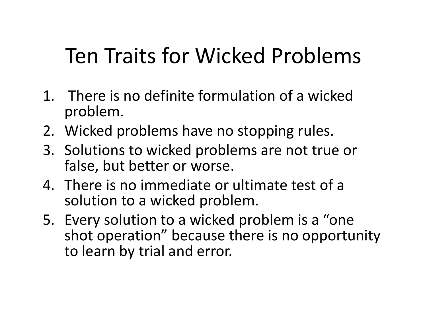# Ten Traits for Wicked Problems

- 1. There is no definite formulation of <sup>a</sup> wicked problem.
- 2. Wicked problems have no stopping rules.
- 3. Solutions to wicked problems are not true or false, but better or worse.
- 4. There is no immediate or ultimate test of <sup>a</sup> solution to <sup>a</sup> wicked problem.
- 5. Every solution to <sup>a</sup> wicked problem is <sup>a</sup> "one shot operation" because there is no opportunity to learn by trial and error.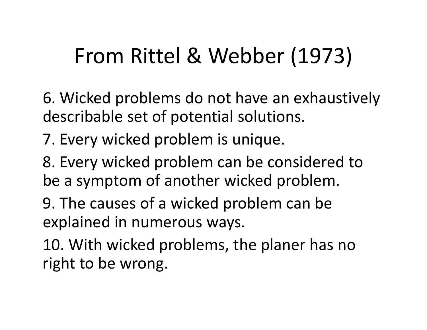# From Rittel & Webber (1973)

- 6. Wicked problems do not have an exhaustively describable set of potential solutions.
- 7. Every wicked problem is unique.
- 8. Every wicked problem can be considered to be <sup>a</sup> symptom of another wicked problem.
- 9. The causes of <sup>a</sup> wicked problem can be explained in numerous ways.
- 10. With wicked problems, the planer has no right to be wrong.